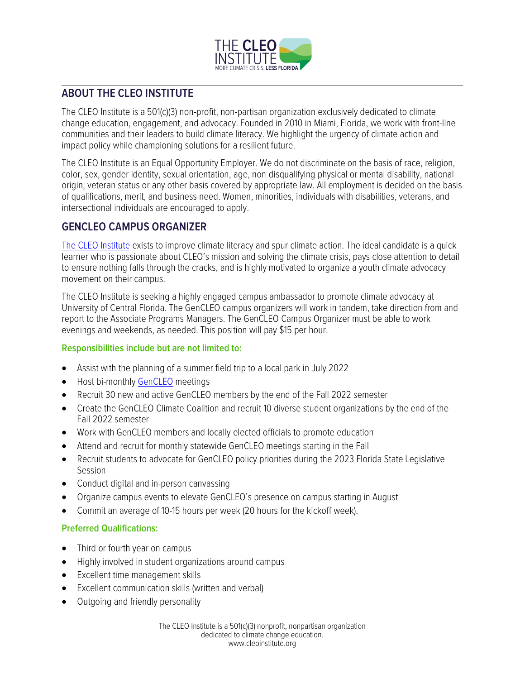

## **ABOUT THE CLEO INSTITUTE**

The CLEO Institute is a 501(c)(3) non-profit, non-partisan organization exclusively dedicated to climate change education, engagement, and advocacy. Founded in 2010 in Miami, Florida, we work with front-line communities and their leaders to build climate literacy. We highlight the urgency of climate action and impact policy while championing solutions for a resilient future.

The CLEO Institute is an Equal Opportunity Employer. We do not discriminate on the basis of race, religion, color, sex, gender identity, sexual orientation, age, non-disqualifying physical or mental disability, national origin, veteran status or any other basis covered by appropriate law. All employment is decided on the basis of qualifications, merit, and business need. Women, minorities, individuals with disabilities, veterans, and intersectional individuals are encouraged to apply.

## **GENCLEO CAMPUS ORGANIZER**

[The CLEO Institute](https://www.cleoinstitute.org/) exists to improve climate literacy and spur climate action. The ideal candidate is a quick learner who is passionate about CLEO's mission and solving the climate crisis, pays close attention to detail to ensure nothing falls through the cracks, and is highly motivated to organize a youth climate advocacy movement on their campus.

The CLEO Institute is seeking a highly engaged campus ambassador to promote climate advocacy at University of Central Florida. The GenCLEO campus organizers will work in tandem, take direction from and report to the Associate Programs Managers. The GenCLEO Campus Organizer must be able to work evenings and weekends, as needed. This position will pay \$15 per hour.

## **Responsibilities include but are not limited to:**

- Assist with the planning of a summer field trip to a local park in July 2022
- Host bi-monthly [GenCLEO](https://cleoinstitute.org/gencleo-youth-empowerment-movement/) meetings
- Recruit 30 new and active GenCLEO members by the end of the Fall 2022 semester
- Create the GenCLEO Climate Coalition and recruit 10 diverse student organizations by the end of the Fall 2022 semester
- Work with GenCLEO members and locally elected officials to promote education
- Attend and recruit for monthly statewide GenCLEO meetings starting in the Fall
- Recruit students to advocate for GenCLEO policy priorities during the 2023 Florida State Legislative Session
- Conduct digital and in-person canvassing
- Organize campus events to elevate GenCLEO's presence on campus starting in August
- Commit an average of 10-15 hours per week (20 hours for the kickoff week).

## **Preferred Qualifications:**

- Third or fourth year on campus
- Highly involved in student organizations around campus
- Excellent time management skills
- Excellent communication skills (written and verbal)
- Outgoing and friendly personality